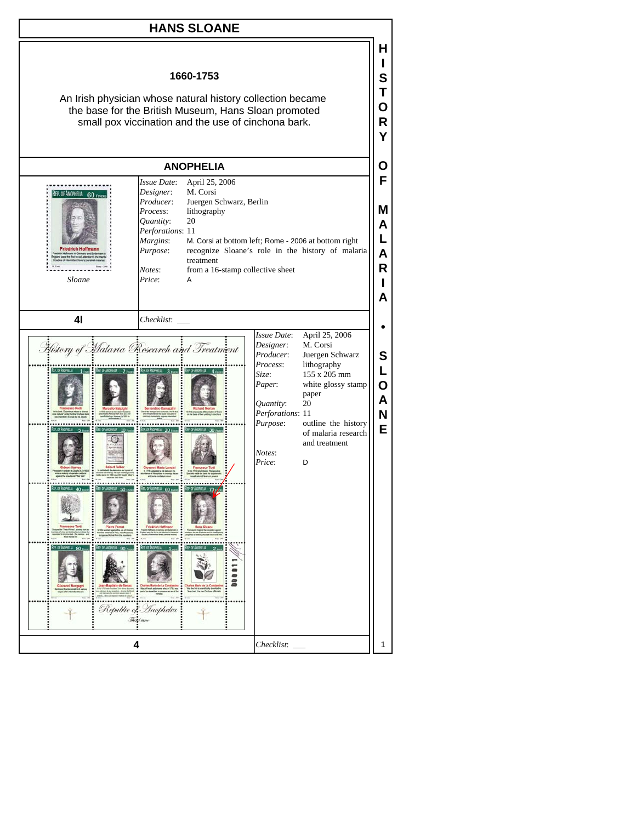